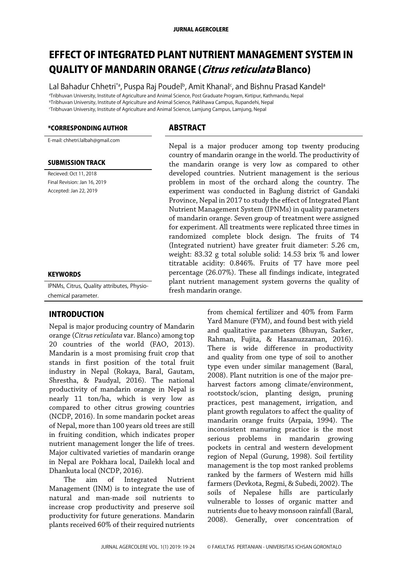#### JURNAL AGERCOLERE

# EFFECT OF INTEGRATED PLANT NUTRIENT MANAGEMENT SYSTEM IN QUALITY OF MANDARIN ORANGE (Citrus reticulata Blanco)

Lal Bahadur Chhetri\*ª, Puspa Raj Poudelʰ, Amit Khanalˤ, and Bishnu Prasad Kandelª <sup>a</sup>Tribhuvan University, Institute of Agriculture and Animal Science, Post Graduate Program, Kirtipur, Kathmandu, Nepal <sup>b</sup>Tribhuvan University, Institute of Agriculture and Animal Science, Paklihawa Campus, Rupandehi, Nepal <sup>c</sup>Tribhuvan University, Institute of Agriculture and Animal Science, Lamjung Campus, Lamjung, Nepal

#### \*CORRESPONDING AUTHOR ABSTRACT

E-mail: chhetri.lalbah@gmail.com

#### SUBMISSION TRACK

Recieved: Oct 11, 2018 Final Revision: Jan 16, 2019 Accepted: Jan 22, 2019

#### **KEYWORDS**

IPNMs, Citrus, Quality attributes, Physiochemical parameter.

#### INTRODUCTION

Nepal is major producing country of Mandarin orange (*Citrus reticulata* var. Blanco) among top 20 countries of the world (FAO, 2013). Mandarin is a most promising fruit crop that stands in first position of the total fruit industry in Nepal (Rokaya, Baral, Gautam, Shrestha, & Paudyal, 2016). The national productivity of mandarin orange in Nepal is nearly 11 ton/ha, which is very low as compared to other citrus growing countries (NCDP, 2016). In some mandarin pocket areas of Nepal, more than 100 years old trees are still in fruiting condition, which indicates proper nutrient management longer the life of trees. Major cultivated varieties of mandarin orange in Nepal are Pokhara local, Dailekh local and Dhankuta local (NCDP, 2016).

The aim of Integrated Nutrient Management (INM) is to integrate the use of natural and man-made soil nutrients to increase crop productivity and preserve soil productivity for future generations. Mandarin plants received 60% of their required nutrients

Nepal is a major producer among top twenty producing country of mandarin orange in the world. The productivity of the mandarin orange is very low as compared to other developed countries. Nutrient management is the serious problem in most of the orchard along the country. The experiment was conducted in Baglung district of Gandaki Province, Nepal in 2017 to study the effect of Integrated Plant Nutrient Management System (IPNMs) in quality parameters of mandarin orange. Seven group of treatment were assigned for experiment. All treatments were replicated three times in randomized complete block design. The fruits of T4 (Integrated nutrient) have greater fruit diameter: 5.26 cm, weight: 83.32 g total soluble solid: 14.53 brix % and lower titratable acidity: 0.846%. Fruits of T7 have more peel percentage (26.07%). These all findings indicate, integrated plant nutrient management system governs the quality of fresh mandarin orange.

> from chemical fertilizer and 40% from Farm Yard Manure (FYM), and found best with yield and qualitative parameters (Bhuyan, Sarker, Rahman, Fujita, & Hasanuzzaman, 2016). There is wide difference in productivity and quality from one type of soil to another type even under similar management (Baral, 2008). Plant nutrition is one of the major preharvest factors among climate/environment, rootstock/scion, planting design, pruning practices, pest management, irrigation, and plant growth regulators to affect the quality of mandarin orange fruits (Arpaia, 1994). The inconsistent manuring practice is the most serious problems in mandarin growing pockets in central and western development region of Nepal (Gurung, 1998). Soil fertility management is the top most ranked problems ranked by the farmers of Western mid hills farmers (Devkota, Regmi, & Subedi, 2002). The soils of Nepalese hills are particularly vulnerable to losses of organic matter and nutrients due to heavy monsoon rainfall (Baral, 2008). Generally, over concentration of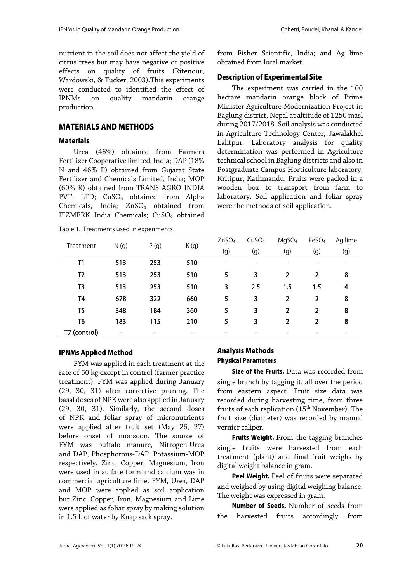nutrient in the soil does not affect the yield of citrus trees but may have negative or positive effects on quality of fruits (Ritenour, Wardowski, & Tucker, 2003).This experiments were conducted to identified the effect of IPNMs on quality mandarin orange production.

### MATERIALS AND METHODS

#### **Materials**

Urea (46%) obtained from Farmers Fertilizer Cooperative limited, India; DAP (18% N and 46% P) obtained from Gujarat State Fertilizer and Chemicals Limited, India; MOP (60% K) obtained from TRANS AGRO INDIA PVT. LTD; CuSO<sub>4</sub> obtained from Alpha Chemicals, India; ZnSO<sub>4</sub> obtained from FIZMERK India Chemicals; CuSO<sup>4</sup> obtained

Table 1. Treatments used in experiments

from Fisher Scientific, India; and Ag lime obtained from local market.

#### Description of Experimental Site

The experiment was carried in the 100 hectare mandarin orange block of Prime Minister Agriculture Modernization Project in Baglung district, Nepal at altitude of 1250 masl during 2017/2018. Soil analysis was conducted in Agriculture Technology Center, Jawalakhel Lalitpur. Laboratory analysis for quality determination was performed in Agriculture technical school in Baglung districts and also in Postgraduate Campus Horticulture laboratory, Kritipur, Kathmandu. Fruits were packed in a wooden box to transport from farm to laboratory. Soil application and foliar spray were the methods of soil application.

| Treatment      |                          |      |      | ZnSO <sub>4</sub>        | CuSO <sub>4</sub>            | MgSO <sub>4</sub> | FeSO <sub>4</sub> | Ag lime                  |
|----------------|--------------------------|------|------|--------------------------|------------------------------|-------------------|-------------------|--------------------------|
|                | N(g)                     | P(g) | K(g) | (g)                      | (g)                          | (g)               | (g)               | (g)                      |
| T1             | 513                      | 253  | 510  | $\overline{\phantom{0}}$ | $\qquad \qquad \blacksquare$ |                   |                   | $\overline{\phantom{a}}$ |
| T2             | 513                      | 253  | 510  | 5                        | 3                            | $\overline{2}$    | 2                 | 8                        |
| T <sub>3</sub> | 513                      | 253  | 510  | 3                        | 2.5                          | 1.5               | $1.5\,$           | 4                        |
| T <sub>4</sub> | 678                      | 322  | 660  | 5                        | 3                            | $\overline{2}$    | 2                 | 8                        |
| T <sub>5</sub> | 348                      | 184  | 360  | 5                        | 3                            | $\overline{2}$    | 2                 | 8                        |
| T <sub>6</sub> | 183                      | 115  | 210  | 5                        | 3                            | 2                 | 2                 | 8                        |
| T7 (control)   | $\overline{\phantom{a}}$ |      |      |                          |                              |                   |                   | $\overline{\phantom{0}}$ |

#### IPNMs Applied Method

FYM was applied in each treatment at the rate of 50 kg except in control (farmer practice treatment). FYM was applied during January (29, 30, 31) after corrective pruning. The basal doses of NPK were also applied in January (29, 30, 31). Similarly, the second doses of NPK and foliar spray of micronutrients were applied after fruit set (May 26, 27) before onset of monsoon. The source of FYM was buffalo manure, Nitrogen-Urea and DAP, Phosphorous-DAP, Potassium-MOP respectively. Zinc, Copper, Magnesium, Iron were used in sulfate form and calcium was in commercial agriculture lime. FYM, Urea, DAP and MOP were applied as soil application but Zinc, Copper, Iron, Magnesium and Lime were applied as foliar spray by making solution in 1.5 L of water by Knap sack spray.

# Analysis Methods Physical Parameters

Size of the Fruits. Data was recorded from single branch by tagging it, all over the period from eastern aspect. Fruit size data was recorded during harvesting time, from three fruits of each replication  $(15<sup>th</sup>$  November). The fruit size (diameter) was recorded by manual vernier caliper.

Fruits Weight. From the tagging branches single fruits were harvested from each treatment (plant) and final fruit weighs by digital weight balance in gram.

Peel Weight. Peel of fruits were separated and weighed by using digital weighing balance. The weight was expressed in gram.

Number of Seeds. Number of seeds from the harvested fruits accordingly from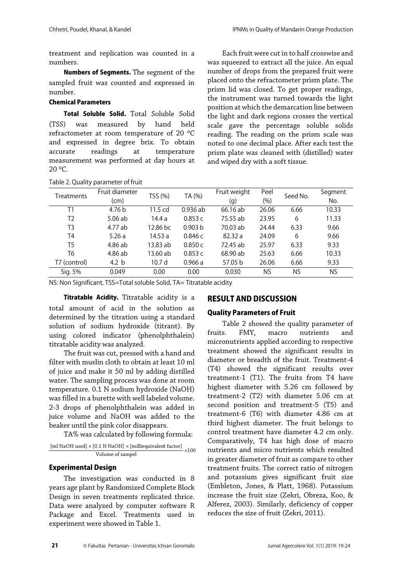treatment and replication was counted in a numbers.

Numbers of Segments. The segment of the sampled fruit was counted and expressed in number.

#### Chemical Parameters

Total Soluble Solid. Total Soluble Solid (TSS) was measured by hand held refractometer at room temperature of 20 ºC and expressed in degree brix. To obtain accurate readings at temperature measurement was performed at day hours at 20 ºC.

Each fruit were cut in to half crosswise and was squeezed to extract all the juice. An equal number of drops from the prepared fruit were placed onto the refractometer prism plate. The prism lid was closed. To get proper readings, the instrument was turned towards the light position at which the demarcation line between the light and dark regions crosses the vertical scale gave the percentage soluble solids reading. The reading on the prism scale was noted to one decimal place. After each test the prism plate was cleaned with (distilled) water and wiped dry with a soft tissue.

| Table 2. Quality parameter of fruit |                        |                   |                    |                     |                 |          |                |
|-------------------------------------|------------------------|-------------------|--------------------|---------------------|-----------------|----------|----------------|
| Treatments                          | Fruit diameter<br>(cm) | TSS (%)           | TA (%)             | Fruit weight<br>(g) | Peel<br>$(\% )$ | Seed No. | Segment<br>No. |
| T1                                  | 4.76 <sub>b</sub>      | 11.5 cd           | $0.936$ ab         | 66.16 ab            | 26.06           | 6.66     | 10.33          |
| T <sub>2</sub>                      | $5.06$ ab              | 14.4 a            | 0.853c             | 75.55 ab            | 23.95           | 6        | 11.33          |
| T3                                  | 4.77 ab                | 12.86 bc          | 0.903 <sub>b</sub> | 70.03 ab            | 24.44           | 6.33     | 9.66           |
| T4                                  | 5.26a                  | 14.53 a           | 0.846c             | 82.32a              | 24.09           | 6        | 9.66           |
| T5                                  | 4.86 ab                | 13.83 ab          | 0.850c             | 72.45 ab            | 25.97           | 6.33     | 9.33           |
| T6                                  | 4.86 ab                | 13.60 ab          | 0.853c             | 68.90 ab            | 25.63           | 6.66     | 10.33          |
| T7 (control)                        | 4.2 <sub>b</sub>       | 10.7 <sub>d</sub> | 0.966a             | 57.05 b             | 26.06           | 6.66     | 9.33           |
| Sig. 5%                             | 0.049                  | 0.00              | 0.00               | 0.030               | NS              | NS       | NS             |

NS: Non Significant, TSS=Total soluble Solid, TA= Titratable acidity

Titratable Acidity. Titratable acidity is a total amount of acid in the solution as determined by the titration using a standard solution of sodium hydroxide (titrant). By using colored indicator (phenolphthalein) titratable acidity was analyzed.

The fruit was cut, pressed with a hand and filter with muslin cloth to obtain at least 10 ml of juice and make it 50 ml by adding distilled water. The sampling process was done at room temperature. 0.1 N sodium hydroxide (NaOH) was filled in a burette with well labeled volume. 2-3 drops of phenolphthalein was added in juice volume and NaOH was added to the beaker until the pink color disappears.

TA% was calculated by following formula:

$$
\frac{\text{[ml NaOH used]} \times \text{[0.1 N NaOH]} \times \text{[milliequivalent factor]}}{\text{Volume of sample}} \times 100
$$

#### Experimental Design

The investigation was conducted in 8 years age plant by Randomized Complete Block Design in seven treatments replicated thrice. Data were analyzed by computer software R Package and Excel. Treatments used in experiment were showed in Table 1.

## RESULT AND DISCUSSION

#### Quality Parameters of Fruit

Table 2 showed the quality parameter of fruits. FMY, macro nutrients and micronutrients applied according to respective treatment showed the significant results in diameter or breadth of the fruit. Treatment-4 (T4) showed the significant results over treatment-1 (T1). The fruits from T4 have highest diameter with 5.26 cm followed by treatment-2 (T2) with diameter 5.06 cm at second position and treatment-5 (T5) and treatment-6 (T6) with diameter 4.86 cm at third highest diameter. The fruit belongs to control treatment have diameter 4.2 cm only. Comparatively, T4 has high dose of macro nutrients and micro nutrients which resulted in greater diameter of fruit as compare to other treatment fruits. The correct ratio of nitrogen and potassium gives significant fruit size (Embleton, Jones, & Platt, 1968). Potassium increase the fruit size (Zekri, Obreza, Koo, & Alferez, 2003). Similarly, deficiency of copper reduces the size of fruit (Zekri, 2011).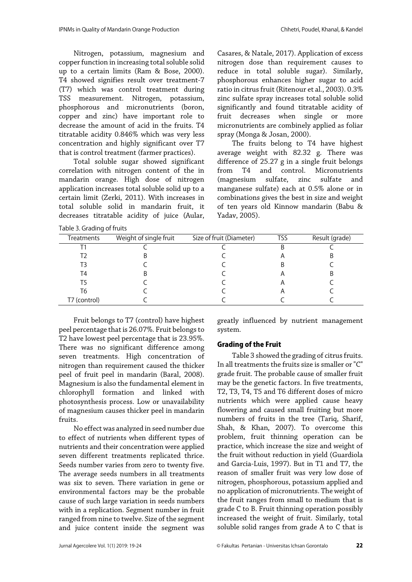Nitrogen, potassium, magnesium and copper function in increasing total soluble solid up to a certain limits (Ram & Bose, 2000). T4 showed signifies result over treatment-7 (T7) which was control treatment during TSS measurement. Nitrogen, potassium, phosphorous and micronutrients (boron, copper and zinc) have important role to decrease the amount of acid in the fruits. T4 titratable acidity 0.846% which was very less concentration and highly significant over T7 that is control treatment (farmer practices).

Total soluble sugar showed significant correlation with nitrogen content of the in mandarin orange. High dose of nitrogen application increases total soluble solid up to a certain limit (Zerki, 2011). With increases in total soluble solid in mandarin fruit, it decreases titratable acidity of juice (Aular,

Table 3. Grading of fruits

nitrogen dose than requirement causes to reduce in total soluble sugar). Similarly, phosphorous enhances higher sugar to acid ratio in citrus fruit (Ritenour et al., 2003). 0.3% zinc sulfate spray increases total soluble solid significantly and found titratable acidity of fruit decreases when single or more micronutrients are combinely applied as foliar spray (Monga & Josan, 2000). The fruits belong to T4 have highest

Casares, & Natale, 2017). Application of excess

average weight with 82.32 g. There was difference of 25.27 g in a single fruit belongs<br>from T4 and control. Micronutrients from T4 and control. Micronutrients<br>(magnesium sulfate, zinc sulfate and (magnesium sulfate, zinc sulfate and manganese sulfate) each at 0.5% alone or in combinations gives the best in size and weight of ten years old Kinnow mandarin (Babu & Yadav, 2005).

| ້            |                        |                          |     |                |
|--------------|------------------------|--------------------------|-----|----------------|
| Treatments   | Weight of single fruit | Size of fruit (Diameter) | TSS | Result (grade) |
|              |                        |                          | B   |                |
| T2           |                        |                          |     |                |
| T3           |                        |                          |     |                |
| T4           |                        |                          |     |                |
| T5           |                        |                          |     |                |
| T6           |                        |                          |     |                |
| T7 (control) |                        |                          |     |                |
|              |                        |                          |     |                |

Fruit belongs to T7 (control) have highest peel percentage that is 26.07%. Fruit belongs to T2 have lowest peel percentage that is 23.95%. There was no significant difference among seven treatments. High concentration of nitrogen than requirement caused the thicker peel of fruit peel in mandarin (Baral, 2008). Magnesium is also the fundamental element in chlorophyll formation and linked with photosynthesis process. Low or unavailability of magnesium causes thicker peel in mandarin fruits.

No effect was analyzed in seed number due to effect of nutrients when different types of nutrients and their concentration were applied seven different treatments replicated thrice. Seeds number varies from zero to twenty five. The average seeds numbers in all treatments was six to seven. There variation in gene or environmental factors may be the probable cause of such large variation in seeds numbers with in a replication. Segment number in fruit ranged from nine to twelve. Size of the segment and juice content inside the segment was

greatly influenced by nutrient management system.

#### Grading of the Fruit

Table 3 showed the grading of citrus fruits. In all treatments the fruits size is smaller or "C" grade fruit. The probable cause of smaller fruit may be the genetic factors. In five treatments, T2, T3, T4, T5 and T6 different doses of micro nutrients which were applied cause heavy flowering and caused small fruiting but more numbers of fruits in the tree (Tariq, Sharif, Shah, & Khan, 2007). To overcome this problem, fruit thinning operation can be practice, which increase the size and weight of the fruit without reduction in yield (Guardiola and Garcia-Luis, 1997). But in T1 and T7, the reason of smaller fruit was very low dose of nitrogen, phosphorous, potassium applied and no application of micronutrients. The weight of the fruit ranges from small to medium that is grade C to B. Fruit thinning operation possibly increased the weight of fruit. Similarly, total soluble solid ranges from grade A to C that is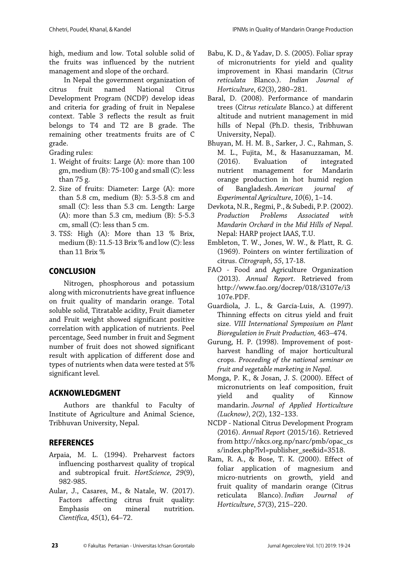high, medium and low. Total soluble solid of the fruits was influenced by the nutrient management and slope of the orchard.

In Nepal the government organization of citrus fruit named National Citrus Development Program (NCDP) develop ideas and criteria for grading of fruit in Nepalese context. Table 3 reflects the result as fruit belongs to T4 and T2 are B grade. The remaining other treatments fruits are of C grade.

Grading rules:

- 1. Weight of fruits: Large (A): more than 100 gm, medium (B): 75-100 g and small (C): less than 75 g.
- 2. Size of fruits: Diameter: Large (A): more than 5.8 cm, medium (B): 5.3-5.8 cm and small (C): less than 5.3 cm. Length: Large (A): more than 5.3 cm, medium (B): 5-5.3 cm, small (C): less than 5 cm.
- 3. TSS: High (A): More than 13 % Brix, medium (B): 11.5-13 Brix % and low (C): less than 11 Brix %

# **CONCLUSION**

Nitrogen, phosphorous and potassium along with micronutrients have great influence on fruit quality of mandarin orange. Total soluble solid, Titratable acidity, Fruit diameter and Fruit weight showed significant positive correlation with application of nutrients. Peel percentage, Seed number in fruit and Segment number of fruit does not showed significant result with application of different dose and types of nutrients when data were tested at 5% significant level.

# ACKNOWLEDGMENT

Authors are thankful to Faculty of Institute of Agriculture and Animal Science, Tribhuvan University, Nepal.

# **REFERENCES**

- Arpaia, M. L. (1994). Preharvest factors influencing postharvest quality of tropical and subtropical fruit. *HortScience, 29*(9), 982-985.
- Aular, J., Casares, M., & Natale, W. (2017). Factors affecting citrus fruit quality: Emphasis on mineral nutrition. *Científica*, *45*(1), 64–72.
- Babu, K. D., & Yadav, D. S. (2005). Foliar spray of micronutrients for yield and quality improvement in Khasi mandarin (*Citrus reticulata* Blanco.). *Indian Journal of Horticulture*, *62*(3), 280–281.
- Baral, D. (2008). Performance of mandarin trees (C*itrus reticulate* Blanco.) at different altitude and nutrient management in mid hills of Nepal (Ph.D. thesis, Tribhuwan University, Nepal).
- Bhuyan, M. H. M. B., Sarker, J. C., Rahman, S. M. L., Fujita, M., & Hasanuzzaman, M. (2016). Evaluation of integrated nutrient management for Mandarin orange production in hot humid region of Bangladesh. *American journal of Experimental Agriculture*, *10*(6), 1–14.
- Devkota, N.R., Regmi, P., & Subedi, P.P. (2002). *Production Problems Associated with Mandarin Orchard in the Mid Hills of Nepal*. Nepal: HARP project IAAS, T.U.
- Embleton, T. W., Jones, W. W., & Platt, R. G. (1969). Pointers on winter fertilization of citrus. *Citrograph*, *55*, 17-18.
- FAO Food and Agriculture Organization (2013). *Annual Report*. Retrieved from http://www.fao.org/docrep/018/i3107e/i3 107e.PDF.
- Guardiola, J. L., & García-Luis, A. (1997). Thinning effects on citrus yield and fruit size. *VIII International Symposium on Plant Bioregulation in Fruit Production,* 463–474.
- Gurung, H. P. (1998). Improvement of postharvest handling of major horticultural crops. *Proceeding of the national seminar on fruit and vegetable marketing in Nepal*.
- Monga, P. K., & Josan, J. S. (2000). Effect of micronutrients on leaf composition, fruit yield and quality of Kinnow mandarin. *Journal of Applied Horticulture (Lucknow)*, *2*(2), 132–133.
- NCDP National Citrus Development Program (2016). *Annual Report* (2015/16). Retrieved from http://nkcs.org.np/narc/pmb/opac\_cs s/index.php?lvl=publisher\_see&id=3518.
- Ram, R. A., & Bose, T. K. (2000). Effect of foliar application of magnesium and micro-nutrients on growth, yield and fruit quality of mandarin orange (Citrus reticulata Blanco). *Indian Journal of Horticulture*, *57*(3), 215–220.